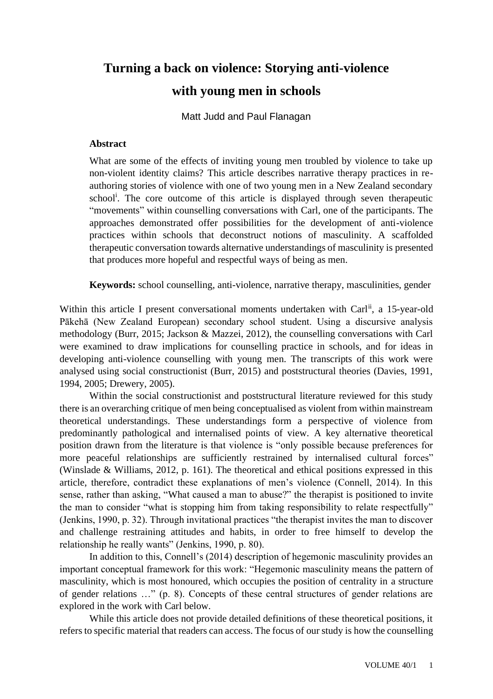# **Turning a back on violence: Storying anti-violence with young men in schools**

Matt Judd and Paul Flanagan

## **Abstract**

What are some of the effects of inviting young men troubled by violence to take up non-violent identity claims? This article describes narrative therapy practices in reauthoring stories of violence with one of two young men in a New Zealand secondary school<sup>i</sup> . The core outcome of this article is displayed through seven therapeutic "movements" within counselling conversations with Carl, one of the participants. The approaches demonstrated offer possibilities for the development of anti-violence practices within schools that deconstruct notions of masculinity. A scaffolded therapeutic conversation towards alternative understandings of masculinity is presented that produces more hopeful and respectful ways of being as men.

**Keywords:** school counselling, anti-violence, narrative therapy, masculinities, gender

Within this article I present conversational moments undertaken with Carl<sup>ii</sup>, a 15-year-old Pākehā (New Zealand European) secondary school student. Using a discursive analysis methodology (Burr, 2015; Jackson & Mazzei, 2012), the counselling conversations with Carl were examined to draw implications for counselling practice in schools, and for ideas in developing anti-violence counselling with young men. The transcripts of this work were analysed using social constructionist (Burr, 2015) and poststructural theories (Davies, 1991, 1994, 2005; Drewery, 2005).

Within the social constructionist and poststructural literature reviewed for this study there is an overarching critique of men being conceptualised as violent from within mainstream theoretical understandings. These understandings form a perspective of violence from predominantly pathological and internalised points of view. A key alternative theoretical position drawn from the literature is that violence is "only possible because preferences for more peaceful relationships are sufficiently restrained by internalised cultural forces" (Winslade & Williams, 2012, p. 161). The theoretical and ethical positions expressed in this article, therefore, contradict these explanations of men's violence (Connell, 2014). In this sense, rather than asking, "What caused a man to abuse?" the therapist is positioned to invite the man to consider "what is stopping him from taking responsibility to relate respectfully" (Jenkins, 1990, p. 32). Through invitational practices "the therapist invites the man to discover and challenge restraining attitudes and habits, in order to free himself to develop the relationship he really wants" (Jenkins, 1990, p. 80).

In addition to this, Connell's (2014) description of hegemonic masculinity provides an important conceptual framework for this work: "Hegemonic masculinity means the pattern of masculinity, which is most honoured, which occupies the position of centrality in a structure of gender relations …" (p. 8). Concepts of these central structures of gender relations are explored in the work with Carl below.

While this article does not provide detailed definitions of these theoretical positions, it refers to specific material that readers can access. The focus of our study is how the counselling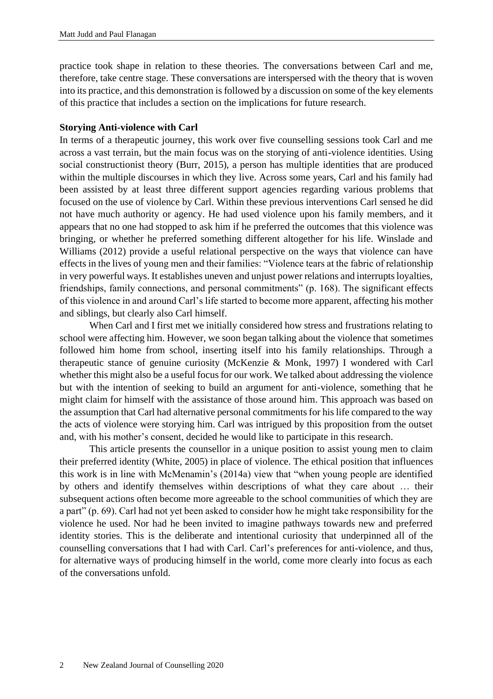practice took shape in relation to these theories. The conversations between Carl and me, therefore, take centre stage. These conversations are interspersed with the theory that is woven into its practice, and this demonstration is followed by a discussion on some of the key elements of this practice that includes a section on the implications for future research.

#### **Storying Anti-violence with Carl**

In terms of a therapeutic journey, this work over five counselling sessions took Carl and me across a vast terrain, but the main focus was on the storying of anti-violence identities. Using social constructionist theory (Burr, 2015), a person has multiple identities that are produced within the multiple discourses in which they live. Across some years, Carl and his family had been assisted by at least three different support agencies regarding various problems that focused on the use of violence by Carl. Within these previous interventions Carl sensed he did not have much authority or agency. He had used violence upon his family members, and it appears that no one had stopped to ask him if he preferred the outcomes that this violence was bringing, or whether he preferred something different altogether for his life. Winslade and Williams (2012) provide a useful relational perspective on the ways that violence can have effects in the lives of young men and their families: "Violence tears at the fabric of relationship in very powerful ways. It establishes uneven and unjust power relations and interrupts loyalties, friendships, family connections, and personal commitments" (p. 168). The significant effects of this violence in and around Carl's life started to become more apparent, affecting his mother and siblings, but clearly also Carl himself.

When Carl and I first met we initially considered how stress and frustrations relating to school were affecting him. However, we soon began talking about the violence that sometimes followed him home from school, inserting itself into his family relationships. Through a therapeutic stance of genuine curiosity (McKenzie & Monk, 1997) I wondered with Carl whether this might also be a useful focus for our work. We talked about addressing the violence but with the intention of seeking to build an argument for anti-violence, something that he might claim for himself with the assistance of those around him. This approach was based on the assumption that Carl had alternative personal commitments for his life compared to the way the acts of violence were storying him. Carl was intrigued by this proposition from the outset and, with his mother's consent, decided he would like to participate in this research.

This article presents the counsellor in a unique position to assist young men to claim their preferred identity (White, 2005) in place of violence. The ethical position that influences this work is in line with McMenamin's (2014a) view that "when young people are identified by others and identify themselves within descriptions of what they care about … their subsequent actions often become more agreeable to the school communities of which they are a part" (p. 69). Carl had not yet been asked to consider how he might take responsibility for the violence he used. Nor had he been invited to imagine pathways towards new and preferred identity stories. This is the deliberate and intentional curiosity that underpinned all of the counselling conversations that I had with Carl. Carl's preferences for anti-violence, and thus, for alternative ways of producing himself in the world, come more clearly into focus as each of the conversations unfold.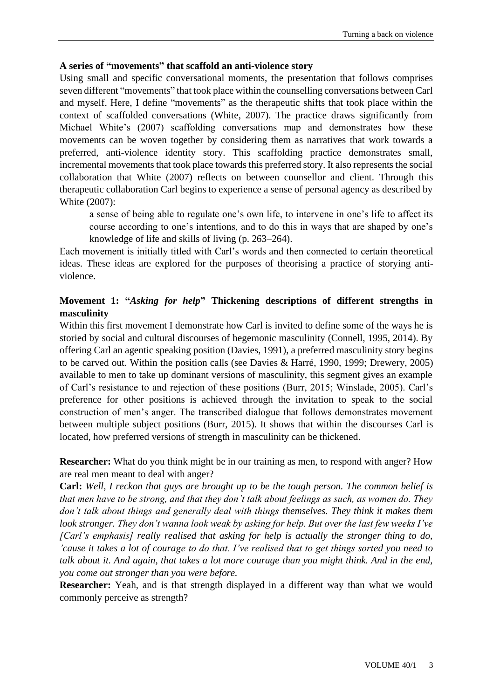## **A series of "movements" that scaffold an anti-violence story**

Using small and specific conversational moments, the presentation that follows comprises seven different "movements" that took place within the counselling conversations between Carl and myself. Here, I define "movements" as the therapeutic shifts that took place within the context of scaffolded conversations (White, 2007). The practice draws significantly from Michael White's (2007) scaffolding conversations map and demonstrates how these movements can be woven together by considering them as narratives that work towards a preferred, anti-violence identity story. This scaffolding practice demonstrates small, incremental movements that took place towards this preferred story. It also represents the social collaboration that White (2007) reflects on between counsellor and client. Through this therapeutic collaboration Carl begins to experience a sense of personal agency as described by White (2007):

a sense of being able to regulate one's own life, to intervene in one's life to affect its course according to one's intentions, and to do this in ways that are shaped by one's knowledge of life and skills of living (p. 263–264).

Each movement is initially titled with Carl's words and then connected to certain theoretical ideas. These ideas are explored for the purposes of theorising a practice of storying antiviolence.

# **Movement 1: "***Asking for help***" Thickening descriptions of different strengths in masculinity**

Within this first movement I demonstrate how Carl is invited to define some of the ways he is storied by social and cultural discourses of hegemonic masculinity (Connell, 1995, 2014). By offering Carl an agentic speaking position (Davies, 1991), a preferred masculinity story begins to be carved out. Within the position calls (see Davies & Harré, 1990, 1999; Drewery, 2005) available to men to take up dominant versions of masculinity, this segment gives an example of Carl's resistance to and rejection of these positions (Burr, 2015; Winslade, 2005). Carl's preference for other positions is achieved through the invitation to speak to the social construction of men's anger. The transcribed dialogue that follows demonstrates movement between multiple subject positions (Burr, 2015). It shows that within the discourses Carl is located, how preferred versions of strength in masculinity can be thickened.

**Researcher:** What do you think might be in our training as men, to respond with anger? How are real men meant to deal with anger?

**Carl:** *Well, I reckon that guys are brought up to be the tough person. The common belief is that men have to be strong, and that they don't talk about feelings as such, as women do. They don't talk about things and generally deal with things themselves. They think it makes them look stronger. They don't wanna look weak by asking for help. But over the last few weeks I've [Carl's emphasis] really realised that asking for help is actually the stronger thing to do, 'cause it takes a lot of courage to do that. I've realised that to get things sorted you need to talk about it. And again, that takes a lot more courage than you might think. And in the end, you come out stronger than you were before.*

**Researcher:** Yeah, and is that strength displayed in a different way than what we would commonly perceive as strength?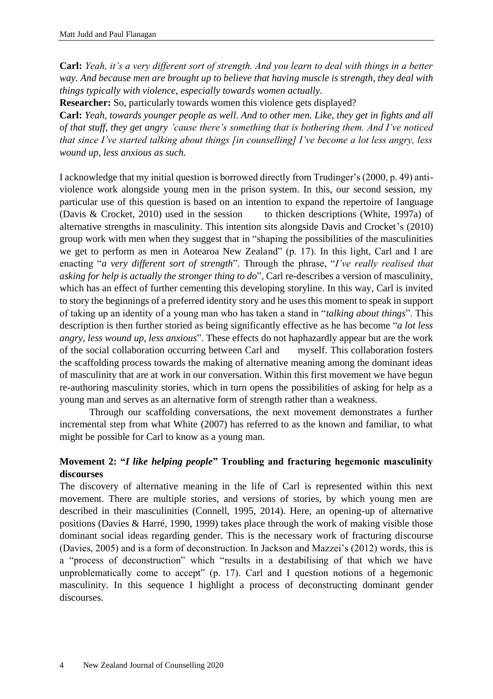**Carl:** *Yeah, it's a very different sort of strength. And you learn to deal with things in a better way. And because men are brought up to believe that having muscle is strength, they deal with things typically with violence, especially towards women actually.*

**Researcher:** So, particularly towards women this violence gets displayed?

**Carl:** *Yeah, towards younger people as well. And to other men. Like, they get in fights and all of that stuff, they get angry 'cause there's something that is bothering them. And I've noticed that since I've started talking about things [in counselling] I've become a lot less angry, less wound up, less anxious as such.*

I acknowledge that my initial question is borrowed directly from Trudinger's (2000, p. 49) antiviolence work alongside young men in the prison system. In this, our second session, my particular use of this question is based on an intention to expand the repertoire of language (Davis & Crocket, 2010) used in the session to thicken descriptions (White, 1997a) of alternative strengths in masculinity. This intention sits alongside Davis and Crocket's (2010) group work with men when they suggest that in "shaping the possibilities of the masculinities we get to perform as men in Aotearoa New Zealand" (p. 17). In this light, Carl and I are enacting "*a very different sort of strength*". Through the phrase, "*I've really realised that asking for help is actually the stronger thing to do*", Carl re-describes a version of masculinity, which has an effect of further cementing this developing storyline. In this way, Carl is invited to story the beginnings of a preferred identity story and he uses this moment to speak in support of taking up an identity of a young man who has taken a stand in "*talking about things*". This description is then further storied as being significantly effective as he has become "*a lot less angry, less wound up, less anxious*". These effects do not haphazardly appear but are the work of the social collaboration occurring between Carl and myself. This collaboration fosters the scaffolding process towards the making of alternative meaning among the dominant ideas of masculinity that are at work in our conversation. Within this first movement we have begun re-authoring masculinity stories, which in turn opens the possibilities of asking for help as a young man and serves as an alternative form of strength rather than a weakness.

Through our scaffolding conversations, the next movement demonstrates a further incremental step from what White (2007) has referred to as the known and familiar, to what might be possible for Carl to know as a young man.

# **Movement 2: "***I like helping people***" Troubling and fracturing hegemonic masculinity discourses**

The discovery of alternative meaning in the life of Carl is represented within this next movement. There are multiple stories, and versions of stories, by which young men are described in their masculinities (Connell, 1995, 2014). Here, an opening-up of alternative positions (Davies & Harré, 1990, 1999) takes place through the work of making visible those dominant social ideas regarding gender. This is the necessary work of fracturing discourse (Davies, 2005) and is a form of deconstruction. In Jackson and Mazzei's (2012) words, this is a "process of deconstruction" which "results in a destabilising of that which we have unproblematically come to accept" (p. 17). Carl and I question notions of a hegemonic masculinity. In this sequence I highlight a process of deconstructing dominant gender discourses.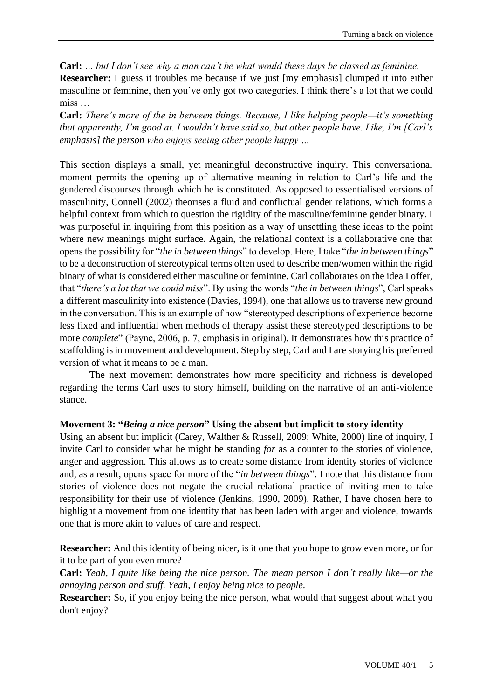**Carl:** *… but I don't see why a man can't be what would these days be classed as feminine.* **Researcher:** I guess it troubles me because if we just  $[mv]$  emphasis clumped it into either masculine or feminine, then you've only got two categories. I think there's a lot that we could miss …

**Carl:** *There's more of the in between things. Because, I like helping people—it's something that apparently, I'm good at. I wouldn't have said so, but other people have. Like, I'm [Carl's emphasis] the person who enjoys seeing other people happy …*

This section displays a small, yet meaningful deconstructive inquiry. This conversational moment permits the opening up of alternative meaning in relation to Carl's life and the gendered discourses through which he is constituted. As opposed to essentialised versions of masculinity, Connell (2002) theorises a fluid and conflictual gender relations, which forms a helpful context from which to question the rigidity of the masculine/feminine gender binary. I was purposeful in inquiring from this position as a way of unsettling these ideas to the point where new meanings might surface. Again, the relational context is a collaborative one that opens the possibility for "*the in between things*" to develop. Here, I take "*the in between things*" to be a deconstruction of stereotypical terms often used to describe men/women within the rigid binary of what is considered either masculine or feminine. Carl collaborates on the idea I offer, that "*there's a lot that we could miss*". By using the words "*the in between things*", Carl speaks a different masculinity into existence (Davies, 1994), one that allows us to traverse new ground in the conversation. This is an example of how "stereotyped descriptions of experience become less fixed and influential when methods of therapy assist these stereotyped descriptions to be more *complete*" (Payne, 2006, p. 7, emphasis in original). It demonstrates how this practice of scaffolding is in movement and development. Step by step, Carl and I are storying his preferred version of what it means to be a man.

The next movement demonstrates how more specificity and richness is developed regarding the terms Carl uses to story himself, building on the narrative of an anti-violence stance.

### **Movement 3: "***Being a nice person***" Using the absent but implicit to story identity**

Using an absent but implicit (Carey, Walther & Russell, 2009; White, 2000) line of inquiry, I invite Carl to consider what he might be standing *for* as a counter to the stories of violence, anger and aggression. This allows us to create some distance from identity stories of violence and, as a result, opens space for more of the "*in between things*". I note that this distance from stories of violence does not negate the crucial relational practice of inviting men to take responsibility for their use of violence (Jenkins, 1990, 2009). Rather, I have chosen here to highlight a movement from one identity that has been laden with anger and violence, towards one that is more akin to values of care and respect.

**Researcher:** And this identity of being nicer, is it one that you hope to grow even more, or for it to be part of you even more?

**Carl:** *Yeah, I quite like being the nice person. The mean person I don't really like—or the annoying person and stuff. Yeah, I enjoy being nice to people.*

**Researcher:** So, if you enjoy being the nice person, what would that suggest about what you don't enjoy?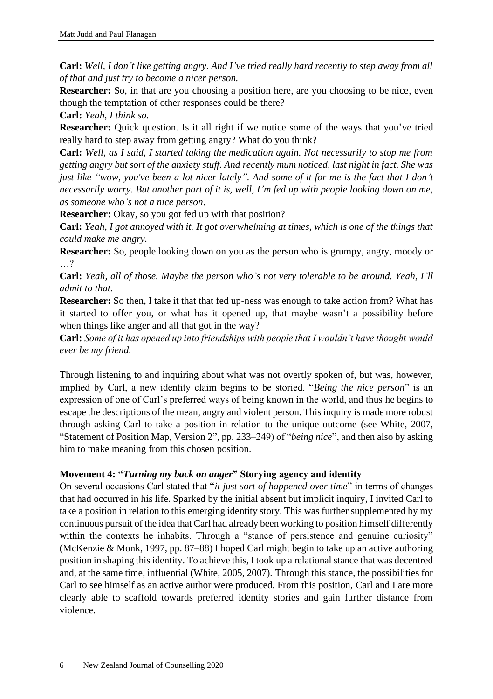**Carl:** *Well, I don't like getting angry. And I've tried really hard recently to step away from all of that and just try to become a nicer person.* 

**Researcher:** So, in that are you choosing a position here, are you choosing to be nice, even though the temptation of other responses could be there?

**Carl:** *Yeah, I think so.*

**Researcher:** Quick question. Is it all right if we notice some of the ways that you've tried really hard to step away from getting angry? What do you think?

**Carl:** *Well, as I said, I started taking the medication again. Not necessarily to stop me from getting angry but sort of the anxiety stuff. And recently mum noticed, last night in fact. She was just like "wow, you've been a lot nicer lately". And some of it for me is the fact that I don't necessarily worry. But another part of it is, well, I'm fed up with people looking down on me, as someone who's not a nice person*.

**Researcher:** Okay, so you got fed up with that position?

**Carl:** *Yeah, I got annoyed with it. It got overwhelming at times, which is one of the things that could make me angry.*

**Researcher:** So, people looking down on you as the person who is grumpy, angry, moody or …?

**Carl:** *Yeah, all of those. Maybe the person who's not very tolerable to be around. Yeah, I'll admit to that.*

**Researcher:** So then, I take it that that fed up-ness was enough to take action from? What has it started to offer you, or what has it opened up, that maybe wasn't a possibility before when things like anger and all that got in the way?

**Carl:** *Some of it has opened up into friendships with people that I wouldn't have thought would ever be my friend.*

Through listening to and inquiring about what was not overtly spoken of, but was, however, implied by Carl, a new identity claim begins to be storied. "*Being the nice person*" is an expression of one of Carl's preferred ways of being known in the world, and thus he begins to escape the descriptions of the mean, angry and violent person. This inquiry is made more robust through asking Carl to take a position in relation to the unique outcome (see White, 2007, "Statement of Position Map, Version 2", pp. 233–249) of "*being nice*", and then also by asking him to make meaning from this chosen position.

# **Movement 4: "***Turning my back on anger***" Storying agency and identity**

On several occasions Carl stated that "*it just sort of happened over time*" in terms of changes that had occurred in his life. Sparked by the initial absent but implicit inquiry, I invited Carl to take a position in relation to this emerging identity story. This was further supplemented by my continuous pursuit of the idea that Carl had already been working to position himself differently within the contexts he inhabits. Through a "stance of persistence and genuine curiosity" (McKenzie & Monk, 1997, pp. 87–88) I hoped Carl might begin to take up an active authoring position in shaping this identity. To achieve this, I took up a relational stance that was decentred and, at the same time, influential (White, 2005, 2007). Through this stance, the possibilities for Carl to see himself as an active author were produced. From this position, Carl and I are more clearly able to scaffold towards preferred identity stories and gain further distance from violence.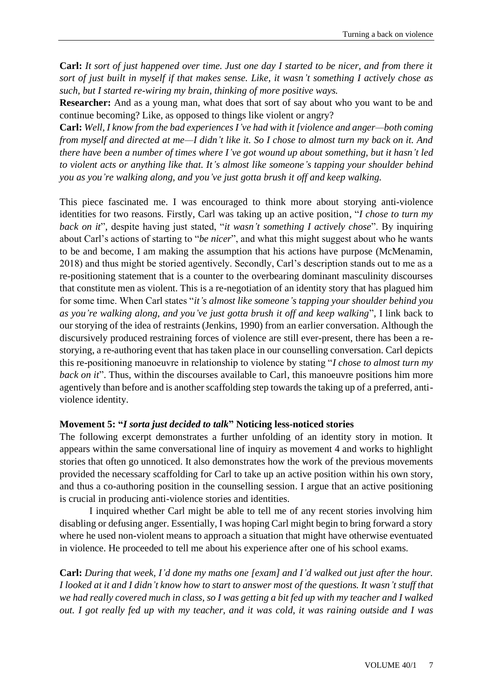**Carl:** *It sort of just happened over time. Just one day I started to be nicer, and from there it sort of just built in myself if that makes sense. Like, it wasn't something I actively chose as such, but I started re-wiring my brain, thinking of more positive ways.*

**Researcher:** And as a young man, what does that sort of say about who you want to be and continue becoming? Like, as opposed to things like violent or angry?

**Carl:** *Well, I know from the bad experiences I've had with it [violence and anger—both coming from myself and directed at me—I didn't like it. So I chose to almost turn my back on it. And there have been a number of times where I've got wound up about something, but it hasn't led to violent acts or anything like that. It's almost like someone's tapping your shoulder behind you as you're walking along, and you've just gotta brush it off and keep walking.*

This piece fascinated me. I was encouraged to think more about storying anti-violence identities for two reasons. Firstly, Carl was taking up an active position, "*I chose to turn my back on it*", despite having just stated, "*it wasn't something I actively chose*". By inquiring about Carl's actions of starting to "*be nicer*", and what this might suggest about who he wants to be and become, I am making the assumption that his actions have purpose (McMenamin, 2018) and thus might be storied agentively. Secondly, Carl's description stands out to me as a re-positioning statement that is a counter to the overbearing dominant masculinity discourses that constitute men as violent. This is a re-negotiation of an identity story that has plagued him for some time. When Carl states "*it's almost like someone's tapping your shoulder behind you as you're walking along, and you've just gotta brush it off and keep walking*", I link back to our storying of the idea of restraints (Jenkins, 1990) from an earlier conversation. Although the discursively produced restraining forces of violence are still ever-present, there has been a restorying, a re-authoring event that has taken place in our counselling conversation. Carl depicts this re-positioning manoeuvre in relationship to violence by stating "*I chose to almost turn my back on it*". Thus, within the discourses available to Carl, this manoeuvre positions him more agentively than before and is another scaffolding step towards the taking up of a preferred, antiviolence identity.

### **Movement 5: "***I sorta just decided to talk***" Noticing less-noticed stories**

The following excerpt demonstrates a further unfolding of an identity story in motion. It appears within the same conversational line of inquiry as movement 4 and works to highlight stories that often go unnoticed. It also demonstrates how the work of the previous movements provided the necessary scaffolding for Carl to take up an active position within his own story, and thus a co-authoring position in the counselling session. I argue that an active positioning is crucial in producing anti-violence stories and identities.

I inquired whether Carl might be able to tell me of any recent stories involving him disabling or defusing anger. Essentially, I was hoping Carl might begin to bring forward a story where he used non-violent means to approach a situation that might have otherwise eventuated in violence. He proceeded to tell me about his experience after one of his school exams.

**Carl:** *During that week, I'd done my maths one [exam] and I'd walked out just after the hour. I looked at it and I didn't know how to start to answer most of the questions. It wasn't stuff that we had really covered much in class, so I was getting a bit fed up with my teacher and I walked out. I got really fed up with my teacher, and it was cold, it was raining outside and I was*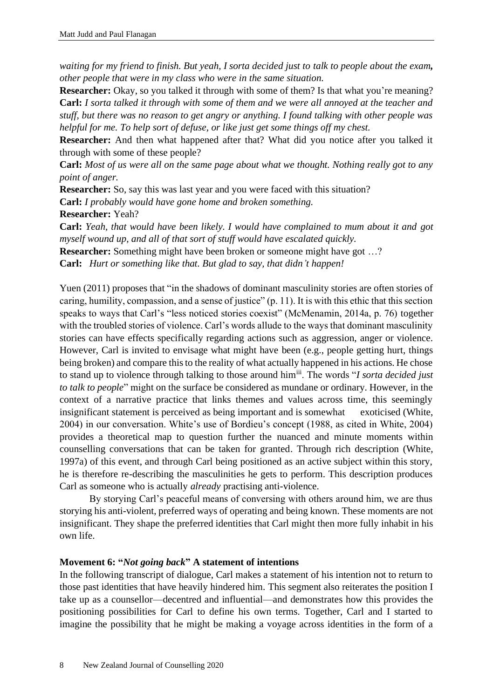*waiting for my friend to finish. But yeah, I sorta decided just to talk to people about the exam, other people that were in my class who were in the same situation.*

**Researcher:** Okay, so you talked it through with some of them? Is that what you're meaning? **Carl:** *I sorta talked it through with some of them and we were all annoyed at the teacher and stuff, but there was no reason to get angry or anything. I found talking with other people was helpful for me. To help sort of defuse, or like just get some things off my chest.* 

**Researcher:** And then what happened after that? What did you notice after you talked it through with some of these people?

**Carl:** *Most of us were all on the same page about what we thought. Nothing really got to any point of anger.*

**Researcher:** So, say this was last year and you were faced with this situation?

**Carl:** *I probably would have gone home and broken something.*

**Researcher:** Yeah?

**Carl:** *Yeah, that would have been likely. I would have complained to mum about it and got myself wound up, and all of that sort of stuff would have escalated quickly.*

**Researcher:** Something might have been broken or someone might have got ...?

**Carl:** *Hurt or something like that. But glad to say, that didn't happen!*

Yuen (2011) proposes that "in the shadows of dominant masculinity stories are often stories of caring, humility, compassion, and a sense of justice" (p. 11). It is with this ethic that this section speaks to ways that Carl's "less noticed stories coexist" (McMenamin, 2014a, p. 76) together with the troubled stories of violence. Carl's words allude to the ways that dominant masculinity stories can have effects specifically regarding actions such as aggression, anger or violence. However, Carl is invited to envisage what might have been (e.g., people getting hurt, things being broken) and compare this to the reality of what actually happened in his actions. He chose to stand up to violence through talking to those around himiii. The words "*I sorta decided just to talk to people*" might on the surface be considered as mundane or ordinary. However, in the context of a narrative practice that links themes and values across time, this seemingly insignificant statement is perceived as being important and is somewhat exoticised (White, 2004) in our conversation. White's use of Bordieu's concept (1988, as cited in White, 2004) provides a theoretical map to question further the nuanced and minute moments within counselling conversations that can be taken for granted. Through rich description (White, 1997a) of this event, and through Carl being positioned as an active subject within this story, he is therefore re-describing the masculinities he gets to perform. This description produces Carl as someone who is actually *already* practising anti-violence.

By storying Carl's peaceful means of conversing with others around him, we are thus storying his anti-violent, preferred ways of operating and being known. These moments are not insignificant. They shape the preferred identities that Carl might then more fully inhabit in his own life.

## **Movement 6: "***Not going back***" A statement of intentions**

In the following transcript of dialogue, Carl makes a statement of his intention not to return to those past identities that have heavily hindered him. This segment also reiterates the position I take up as a counsellor—decentred and influential—and demonstrates how this provides the positioning possibilities for Carl to define his own terms. Together, Carl and I started to imagine the possibility that he might be making a voyage across identities in the form of a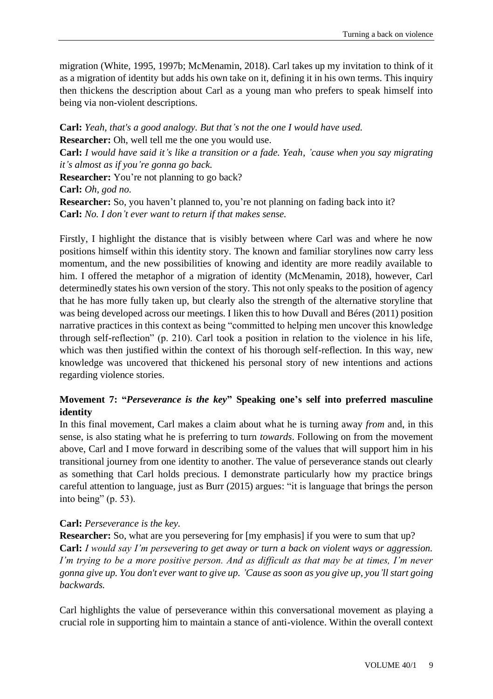migration (White, 1995, 1997b; McMenamin, 2018). Carl takes up my invitation to think of it as a migration of identity but adds his own take on it, defining it in his own terms. This inquiry then thickens the description about Carl as a young man who prefers to speak himself into being via non-violent descriptions.

**Carl:** *Yeah, that's a good analogy. But that's not the one I would have used.* **Researcher:** Oh, well tell me the one you would use. **Carl:** *I would have said it's like a transition or a fade. Yeah, 'cause when you say migrating it's almost as if you're gonna go back.* **Researcher:** You're not planning to go back? **Carl:** *Oh, god no.* **Researcher:** So, you haven't planned to, you're not planning on fading back into it? **Carl:** *No. I don't ever want to return if that makes sense.*

Firstly, I highlight the distance that is visibly between where Carl was and where he now positions himself within this identity story. The known and familiar storylines now carry less momentum, and the new possibilities of knowing and identity are more readily available to him. I offered the metaphor of a migration of identity (McMenamin, 2018), however, Carl determinedly states his own version of the story. This not only speaks to the position of agency that he has more fully taken up, but clearly also the strength of the alternative storyline that was being developed across our meetings. I liken this to how Duvall and Béres (2011) position narrative practices in this context as being "committed to helping men uncover this knowledge through self-reflection" (p. 210). Carl took a position in relation to the violence in his life, which was then justified within the context of his thorough self-reflection. In this way, new knowledge was uncovered that thickened his personal story of new intentions and actions regarding violence stories.

# **Movement 7: "***Perseverance is the key***" Speaking one's self into preferred masculine identity**

In this final movement, Carl makes a claim about what he is turning away *from* and, in this sense, is also stating what he is preferring to turn *towards*. Following on from the movement above, Carl and I move forward in describing some of the values that will support him in his transitional journey from one identity to another. The value of perseverance stands out clearly as something that Carl holds precious. I demonstrate particularly how my practice brings careful attention to language, just as Burr (2015) argues: "it is language that brings the person into being" (p. 53).

# **Carl:** *Perseverance is the key.*

**Researcher:** So, what are you persevering for [my emphasis] if you were to sum that up? **Carl:** *I would say I'm persevering to get away or turn a back on violent ways or aggression. I'm trying to be a more positive person. And as difficult as that may be at times, I'm never gonna give up. You don't ever want to give up. 'Cause as soon as you give up, you'll start going backwards.*

Carl highlights the value of perseverance within this conversational movement as playing a crucial role in supporting him to maintain a stance of anti-violence. Within the overall context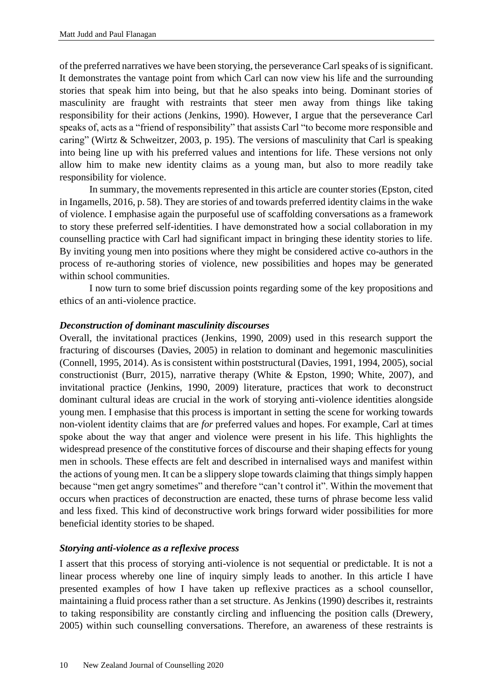of the preferred narratives we have been storying, the perseverance Carl speaks of is significant. It demonstrates the vantage point from which Carl can now view his life and the surrounding stories that speak him into being, but that he also speaks into being. Dominant stories of masculinity are fraught with restraints that steer men away from things like taking responsibility for their actions (Jenkins, 1990). However, I argue that the perseverance Carl speaks of, acts as a "friend of responsibility" that assists Carl "to become more responsible and caring" (Wirtz & Schweitzer, 2003, p. 195). The versions of masculinity that Carl is speaking into being line up with his preferred values and intentions for life. These versions not only allow him to make new identity claims as a young man, but also to more readily take responsibility for violence.

In summary, the movements represented in this article are counter stories (Epston, cited in Ingamells, 2016, p. 58). They are stories of and towards preferred identity claims in the wake of violence. I emphasise again the purposeful use of scaffolding conversations as a framework to story these preferred self-identities. I have demonstrated how a social collaboration in my counselling practice with Carl had significant impact in bringing these identity stories to life. By inviting young men into positions where they might be considered active co-authors in the process of re-authoring stories of violence, new possibilities and hopes may be generated within school communities.

I now turn to some brief discussion points regarding some of the key propositions and ethics of an anti-violence practice.

#### *Deconstruction of dominant masculinity discourses*

Overall, the invitational practices (Jenkins, 1990, 2009) used in this research support the fracturing of discourses (Davies, 2005) in relation to dominant and hegemonic masculinities (Connell, 1995, 2014). As is consistent within poststructural (Davies, 1991, 1994, 2005), social constructionist (Burr, 2015), narrative therapy (White & Epston, 1990; White, 2007), and invitational practice (Jenkins, 1990, 2009) literature, practices that work to deconstruct dominant cultural ideas are crucial in the work of storying anti-violence identities alongside young men. I emphasise that this process is important in setting the scene for working towards non-violent identity claims that are *for* preferred values and hopes. For example, Carl at times spoke about the way that anger and violence were present in his life. This highlights the widespread presence of the constitutive forces of discourse and their shaping effects for young men in schools. These effects are felt and described in internalised ways and manifest within the actions of young men. It can be a slippery slope towards claiming that things simply happen because "men get angry sometimes" and therefore "can't control it". Within the movement that occurs when practices of deconstruction are enacted, these turns of phrase become less valid and less fixed. This kind of deconstructive work brings forward wider possibilities for more beneficial identity stories to be shaped.

#### *Storying anti-violence as a reflexive process*

I assert that this process of storying anti-violence is not sequential or predictable. It is not a linear process whereby one line of inquiry simply leads to another. In this article I have presented examples of how I have taken up reflexive practices as a school counsellor, maintaining a fluid process rather than a set structure. As Jenkins (1990) describes it, restraints to taking responsibility are constantly circling and influencing the position calls (Drewery, 2005) within such counselling conversations. Therefore, an awareness of these restraints is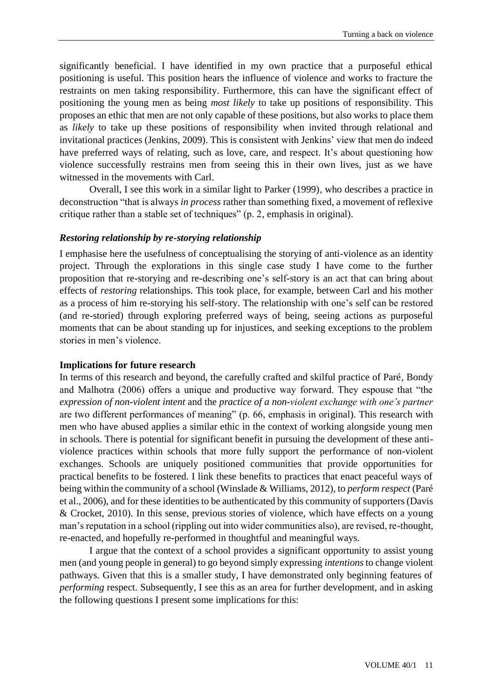significantly beneficial. I have identified in my own practice that a purposeful ethical positioning is useful. This position hears the influence of violence and works to fracture the restraints on men taking responsibility. Furthermore, this can have the significant effect of positioning the young men as being *most likely* to take up positions of responsibility. This proposes an ethic that men are not only capable of these positions, but also works to place them as *likely* to take up these positions of responsibility when invited through relational and invitational practices (Jenkins, 2009). This is consistent with Jenkins' view that men do indeed have preferred ways of relating, such as love, care, and respect. It's about questioning how violence successfully restrains men from seeing this in their own lives, just as we have witnessed in the movements with Carl.

Overall, I see this work in a similar light to Parker (1999), who describes a practice in deconstruction "that is always *in process* rather than something fixed, a movement of reflexive critique rather than a stable set of techniques" (p. 2, emphasis in original).

### *Restoring relationship by re-storying relationship*

I emphasise here the usefulness of conceptualising the storying of anti-violence as an identity project. Through the explorations in this single case study I have come to the further proposition that re-storying and re-describing one's self-story is an act that can bring about effects of *restoring* relationships. This took place, for example, between Carl and his mother as a process of him re-storying his self-story. The relationship with one's self can be restored (and re-storied) through exploring preferred ways of being, seeing actions as purposeful moments that can be about standing up for injustices, and seeking exceptions to the problem stories in men's violence.

#### **Implications for future research**

In terms of this research and beyond, the carefully crafted and skilful practice of Paré, Bondy and Malhotra (2006) offers a unique and productive way forward. They espouse that "the *expression of non-violent intent* and the *practice of a non-violent exchange with one's partner* are two different performances of meaning" (p. 66, emphasis in original). This research with men who have abused applies a similar ethic in the context of working alongside young men in schools. There is potential for significant benefit in pursuing the development of these antiviolence practices within schools that more fully support the performance of non-violent exchanges. Schools are uniquely positioned communities that provide opportunities for practical benefits to be fostered. I link these benefits to practices that enact peaceful ways of being within the community of a school (Winslade & Williams, 2012), to *perform respect* (Paré et al., 2006), and for these identities to be authenticated by this community of supporters (Davis & Crocket, 2010). In this sense, previous stories of violence, which have effects on a young man's reputation in a school (rippling out into wider communities also), are revised, re-thought, re-enacted, and hopefully re-performed in thoughtful and meaningful ways.

I argue that the context of a school provides a significant opportunity to assist young men (and young people in general) to go beyond simply expressing *intentions* to change violent pathways. Given that this is a smaller study, I have demonstrated only beginning features of *performing* respect. Subsequently, I see this as an area for further development, and in asking the following questions I present some implications for this: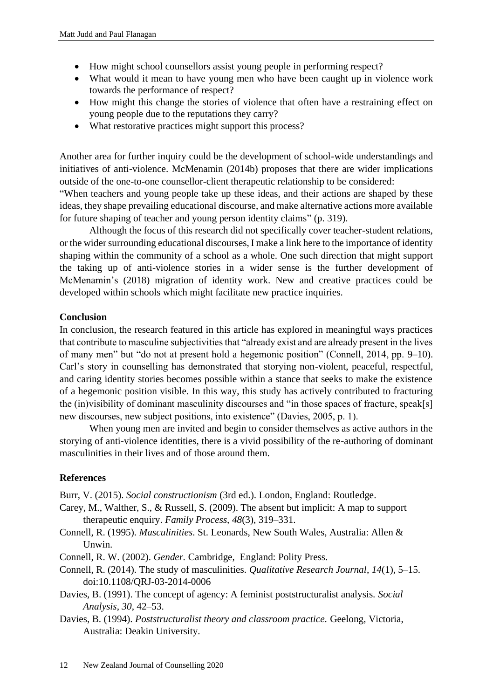- How might school counsellors assist young people in performing respect?
- What would it mean to have young men who have been caught up in violence work towards the performance of respect?
- How might this change the stories of violence that often have a restraining effect on young people due to the reputations they carry?
- What restorative practices might support this process?

Another area for further inquiry could be the development of school-wide understandings and initiatives of anti-violence. McMenamin (2014b) proposes that there are wider implications outside of the one-to-one counsellor-client therapeutic relationship to be considered:

"When teachers and young people take up these ideas, and their actions are shaped by these ideas, they shape prevailing educational discourse, and make alternative actions more available for future shaping of teacher and young person identity claims" (p. 319).

Although the focus of this research did not specifically cover teacher-student relations, or the wider surrounding educational discourses, I make a link here to the importance of identity shaping within the community of a school as a whole. One such direction that might support the taking up of anti-violence stories in a wider sense is the further development of McMenamin's (2018) migration of identity work. New and creative practices could be developed within schools which might facilitate new practice inquiries.

### **Conclusion**

In conclusion, the research featured in this article has explored in meaningful ways practices that contribute to masculine subjectivities that "already exist and are already present in the lives of many men" but "do not at present hold a hegemonic position" (Connell, 2014, pp. 9–10). Carl's story in counselling has demonstrated that storying non-violent, peaceful, respectful, and caring identity stories becomes possible within a stance that seeks to make the existence of a hegemonic position visible. In this way, this study has actively contributed to fracturing the (in)visibility of dominant masculinity discourses and "in those spaces of fracture, speak[s] new discourses, new subject positions, into existence" (Davies, 2005, p. 1).

When young men are invited and begin to consider themselves as active authors in the storying of anti-violence identities, there is a vivid possibility of the re-authoring of dominant masculinities in their lives and of those around them.

# **References**

Burr, V. (2015). *Social constructionism* (3rd ed.). London, England: Routledge.

- Carey, M., Walther, S., & Russell, S. (2009). The absent but implicit: A map to support therapeutic enquiry. *Family Process, 48*(3), 319–331.
- Connell, R. (1995). *Masculinities*. St. Leonards, New South Wales, Australia: Allen & Unwin.
- Connell, R. W. (2002). *Gender.* Cambridge, England: Polity Press.
- Connell, R. (2014). The study of masculinities. *Qualitative Research Journal*, *14*(1), 5–15. doi:10.1108/QRJ-03-2014-0006
- Davies, B. (1991). The concept of agency: A feminist poststructuralist analysis. *Social Analysis*, *30*, 42–53.
- Davies, B. (1994). *Poststructuralist theory and classroom practice.* Geelong, Victoria, Australia: Deakin University.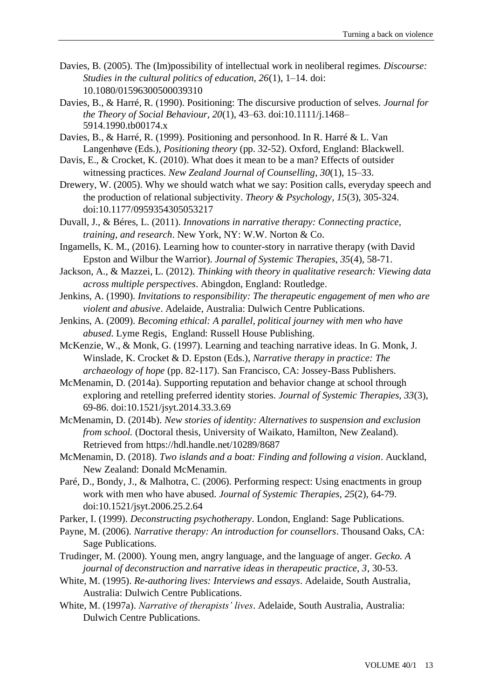- Davies, B. (2005). The (Im)possibility of intellectual work in neoliberal regimes. *Discourse: Studies in the cultural politics of education, 26*(1), 1–14. doi: 10.1080/01596300500039310
- Davies, B., & Harré, R. (1990). Positioning: The discursive production of selves. *Journal for the Theory of Social Behaviour, 20*(1), 43–63. doi:10.1111/j.1468– 5914.1990.tb00174.x
- Davies, B., & Harré, R. (1999). Positioning and personhood. In R. Harré & L. Van Langenhøve (Eds.), *Positioning theory* (pp. 32-52). Oxford, England: Blackwell.
- Davis, E., & Crocket, K. (2010). What does it mean to be a man? Effects of outsider witnessing practices. *New Zealand Journal of Counselling*, *30*(1), 15–33.
- Drewery, W. (2005). Why we should watch what we say: Position calls, everyday speech and the production of relational subjectivity. *Theory & Psychology, 15*(3), 305-324. doi:10.1177/0959354305053217
- Duvall, J., & Béres, L. (2011). *Innovations in narrative therapy: Connecting practice, training, and research*. New York, NY: W.W. Norton & Co.
- Ingamells, K. M., (2016). Learning how to counter-story in narrative therapy (with David Epston and Wilbur the Warrior). *Journal of Systemic Therapies, 35*(4), 58-71.
- Jackson, A., & Mazzei, L. (2012). *Thinking with theory in qualitative research: Viewing data across multiple perspectives*. Abingdon, England: Routledge.
- Jenkins, A. (1990). *Invitations to responsibility: The therapeutic engagement of men who are violent and abusive*. Adelaide, Australia: Dulwich Centre Publications.
- Jenkins, A. (2009). *Becoming ethical: A parallel, political journey with men who have abused*. Lyme Regis, England: Russell House Publishing.
- McKenzie, W., & Monk, G. (1997). Learning and teaching narrative ideas. In G. Monk, J. Winslade, K. Crocket & D. Epston (Eds.), *Narrative therapy in practice: The archaeology of hope* (pp. 82-117). San Francisco, CA: Jossey-Bass Publishers.
- McMenamin, D. (2014a). Supporting reputation and behavior change at school through exploring and retelling preferred identity stories. *Journal of Systemic Therapies, 33*(3), 69-86. doi:10.1521/jsyt.2014.33.3.69
- McMenamin, D. (2014b). *New stories of identity: Alternatives to suspension and exclusion from school.* (Doctoral thesis, University of Waikato, Hamilton, New Zealand). Retrieved from https://hdl.handle.net/10289/8687
- McMenamin, D. (2018). *Two islands and a boat: Finding and following a vision*. Auckland, New Zealand: Donald McMenamin.
- Paré, D., Bondy, J., & Malhotra, C. (2006). Performing respect: Using enactments in group work with men who have abused. *Journal of Systemic Therapies, 25*(2), 64-79. doi:10.1521/jsyt.2006.25.2.64
- Parker, I. (1999). *Deconstructing psychotherapy*. London, England: Sage Publications.
- Payne, M. (2006). *Narrative therapy: An introduction for counsellors*. Thousand Oaks, CA: Sage Publications.
- Trudinger, M. (2000). Young men, angry language, and the language of anger. *Gecko. A journal of deconstruction and narrative ideas in therapeutic practice, 3*, 30-53.
- White, M. (1995). *Re-authoring lives: Interviews and essays*. Adelaide, South Australia, Australia: Dulwich Centre Publications.
- White, M. (1997a). *Narrative of therapists' lives*. Adelaide, South Australia, Australia: Dulwich Centre Publications.